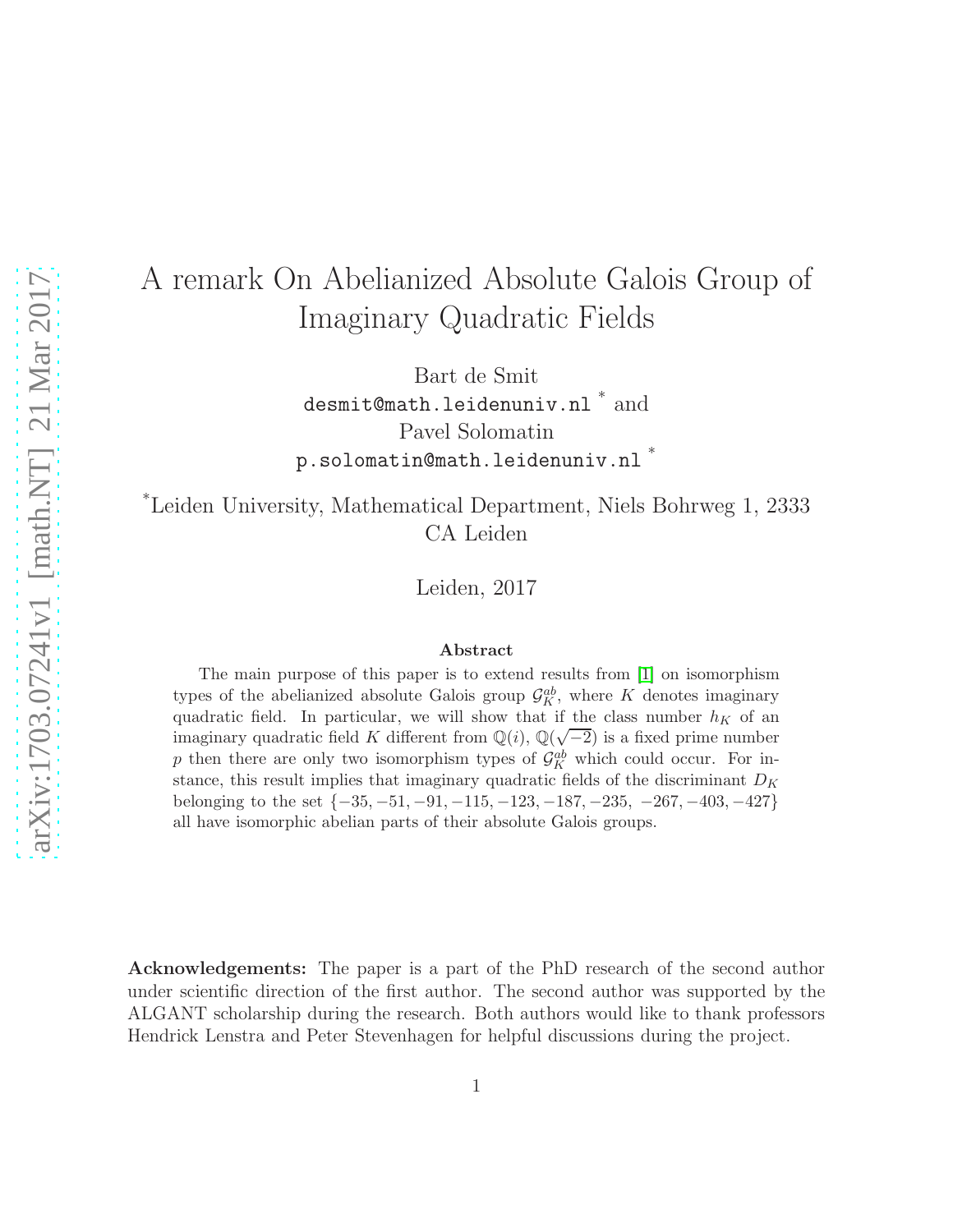# A remark On Abelianized Absolute Galois Group of Imaginary Quadratic Fields

Bart de Smit desmit@math.leidenuniv.nl  $*$  and Pavel Solomatin p.solomatin@math.leidenuniv.nl \*

\*Leiden University, Mathematical Department, Niels Bohrweg 1, 2333 CA Leiden

Leiden, 2017

#### Abstract

The main purpose of this paper is to extend results from [\[1\]](#page-9-0) on isomorphism types of the abelianized absolute Galois group  $\mathcal{G}_{K}^{ab}$ , where K denotes imaginary quadratic field. In particular, we will show that if the class number  $h_K$  of an imaginary quadratic field K different from  $\mathbb{Q}(i)$ ,  $\mathbb{Q}(\sqrt{-2})$  is a fixed prime number p then there are only two isomorphism types of  $\mathcal{G}_K^{ab}$  which could occur. For instance, this result implies that imaginary quadratic fields of the discriminant  $D_K$ belonging to the set  $\{-35, -51, -91, -115, -123, -187, -235, -267, -403, -427\}$ all have isomorphic abelian parts of their absolute Galois groups.

Acknowledgements: The paper is a part of the PhD research of the second author under scientific direction of the first author. The second author was supported by the ALGANT scholarship during the research. Both authors would like to thank professors Hendrick Lenstra and Peter Stevenhagen for helpful discussions during the project.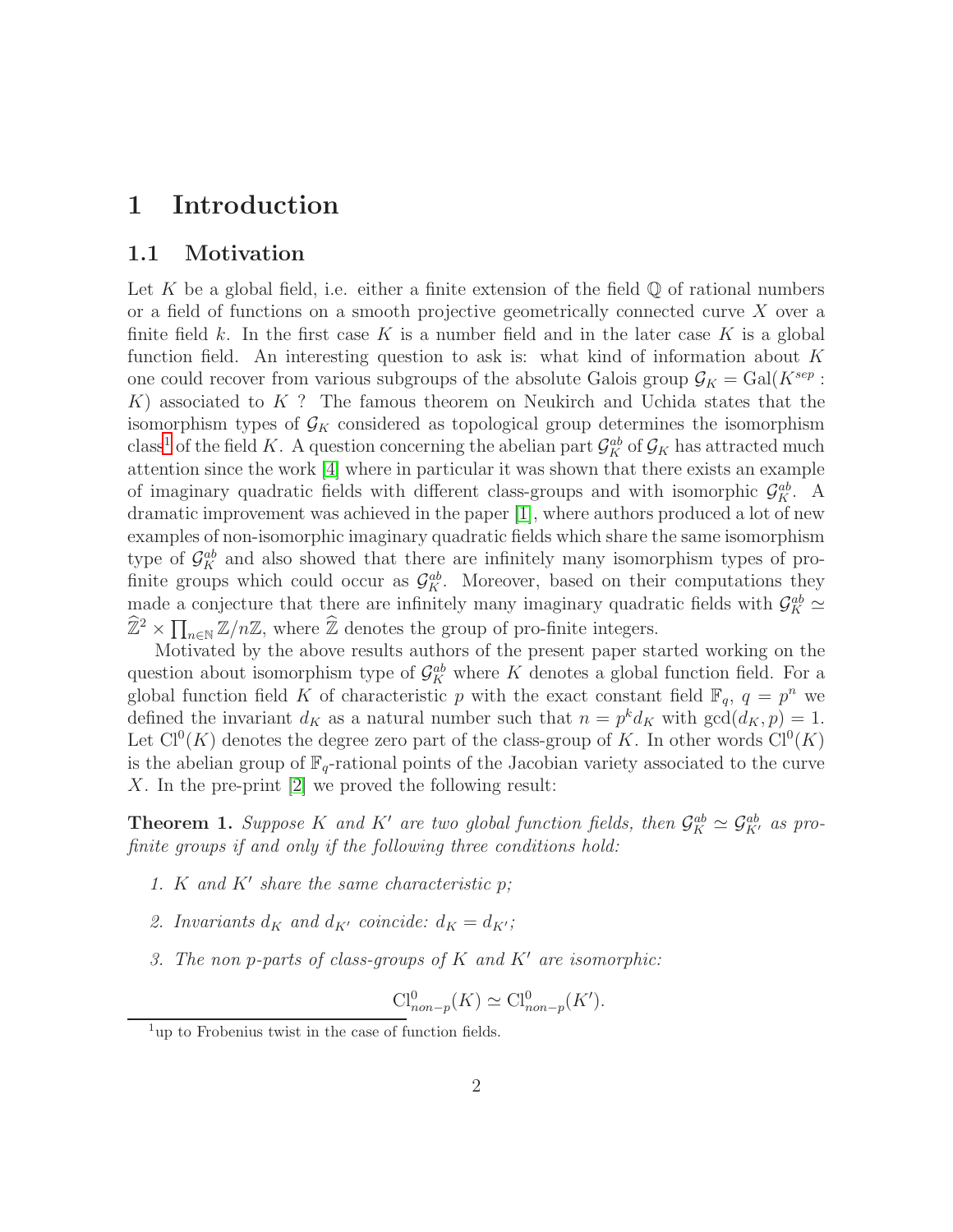## <span id="page-1-3"></span><span id="page-1-2"></span>1 Introduction

### 1.1 Motivation

Let K be a global field, i.e. either a finite extension of the field  $\mathbb Q$  of rational numbers or a field of functions on a smooth projective geometrically connected curve X over a finite field k. In the first case K is a number field and in the later case K is a global function field. An interesting question to ask is: what kind of information about  $K$ one could recover from various subgroups of the absolute Galois group  $\mathcal{G}_K = \text{Gal}(K^{sep} :$  $K$ ) associated to  $K$ ? The famous theorem on Neukirch and Uchida states that the isomorphism types of  $\mathcal{G}_K$  considered as topological group determines the isomorphism class<sup>[1](#page-1-0)</sup> of the field K. A question concerning the abelian part  $\mathcal{G}_K^{ab}$  of  $\mathcal{G}_K$  has attracted much attention since the work [\[4\]](#page-9-1) where in particular it was shown that there exists an example of imaginary quadratic fields with different class-groups and with isomorphic  $\mathcal{G}_{K}^{ab}$ . A dramatic improvement was achieved in the paper [\[1\]](#page-9-0), where authors produced a lot of new examples of non-isomorphic imaginary quadratic fields which share the same isomorphism type of  $\mathcal{G}_{K}^{ab}$  and also showed that there are infinitely many isomorphism types of profinite groups which could occur as  $\mathcal{G}_{K}^{ab}$ . Moreover, based on their computations they made a conjecture that there are infinitely many imaginary quadratic fields with  $\mathcal{G}_K^{ab} \simeq$  $\widehat{\mathbb{Z}}^2 \times \prod_{n \in \mathbb{N}} \mathbb{Z}/n\mathbb{Z}$ , where  $\widehat{\mathbb{Z}}$  denotes the group of pro-finite integers.

Motivated by the above results authors of the present paper started working on the question about isomorphism type of  $\mathcal{G}_K^{ab}$  where K denotes a global function field. For a global function field K of characteristic p with the exact constant field  $\mathbb{F}_q$ ,  $q = p^n$  we defined the invariant  $d_K$  as a natural number such that  $n = p^k d_K$  with  $gcd(d_K, p) = 1$ . Let  $Cl^{0}(K)$  denotes the degree zero part of the class-group of K. In other words  $Cl^{0}(K)$ is the abelian group of  $\mathbb{F}_q$ -rational points of the Jacobian variety associated to the curve X. In the pre-print [\[2\]](#page-9-2) we proved the following result:

<span id="page-1-1"></span>**Theorem 1.** Suppose K and K' are two global function fields, then  $\mathcal{G}_K^{ab} \simeq \mathcal{G}_{K'}^{ab}$  as profinite groups if and only if the following three conditions hold:

- 1. K and  $K'$  share the same characteristic  $p$ ;
- 2. Invariants  $d_K$  and  $d_{K'}$  coincide:  $d_K = d_{K'}$ ;
- 3. The non p-parts of class-groups of  $K$  and  $K'$  are isomorphic:

$$
\text{Cl}_{non-p}^0(K) \simeq \text{Cl}_{non-p}^0(K').
$$

<span id="page-1-0"></span> $1_{\text{up}}$  to Frobenius twist in the case of function fields.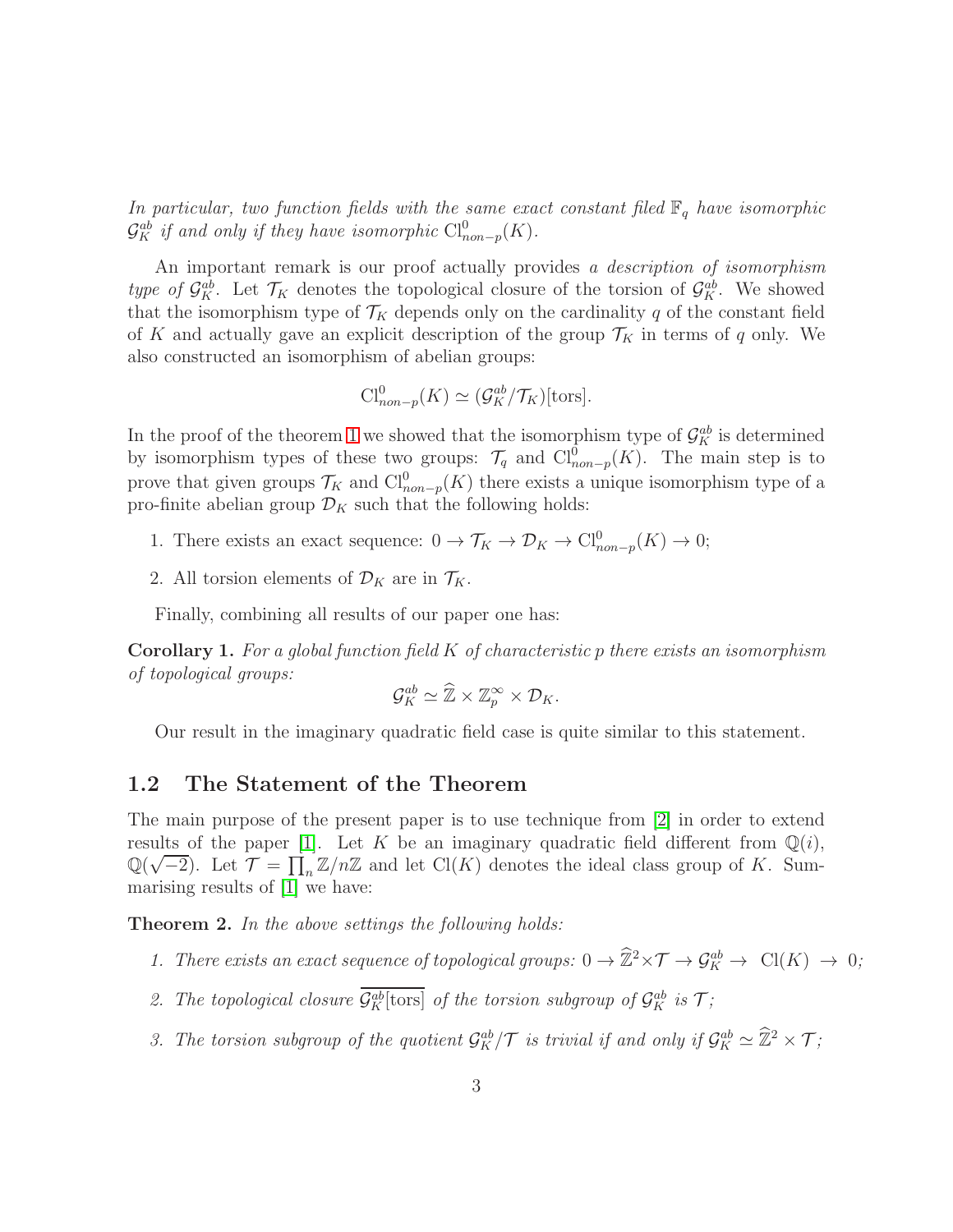In particular, two function fields with the same exact constant filed  $\mathbb{F}_q$  have isomorphic  $\mathcal{G}_K^{ab}$  if and only if they have isomorphic  $\text{Cl}_{non-p}^0(K)$ .

An important remark is our proof actually provides a *description of isomorphism* type of  $\mathcal{G}_{K}^{ab}$ . Let  $\mathcal{T}_{K}$  denotes the topological closure of the torsion of  $\mathcal{G}_{K}^{ab}$ . We showed that the isomorphism type of  $\mathcal{T}_K$  depends only on the cardinality q of the constant field of K and actually gave an explicit description of the group  $\mathcal{T}_K$  in terms of q only. We also constructed an isomorphism of abelian groups:

$$
\mathrm{Cl}^0_{non-p}(K) \simeq (\mathcal{G}_K^{ab}/\mathcal{T}_K)[\text{tors}].
$$

In the proof of the theorem [1](#page-1-1) we showed that the isomorphism type of  $\mathcal{G}_{K}^{ab}$  is determined by isomorphism types of these two groups:  $\mathcal{T}_q$  and  $\text{Cl}^{\hat{0}}_{non-p}(K)$ . The main step is to prove that given groups  $\mathcal{T}_K$  and  $\text{Cl}_{non-p}^0(K)$  there exists a unique isomorphism type of a pro-finite abelian group  $\mathcal{D}_K$  such that the following holds:

- 1. There exists an exact sequence:  $0 \to \mathcal{T}_K \to \mathcal{D}_K \to \mathrm{Cl}^0_{non-p}(K) \to 0;$
- 2. All torsion elements of  $\mathcal{D}_K$  are in  $\mathcal{T}_K$ .

Finally, combining all results of our paper one has:

**Corollary 1.** For a global function field  $K$  of characteristic p there exists an isomorphism of topological groups:

$$
\mathcal{G}_K^{ab} \simeq \widehat{\mathbb{Z}} \times \mathbb{Z}_p^{\infty} \times \mathcal{D}_K.
$$

Our result in the imaginary quadratic field case is quite similar to this statement.

### <span id="page-2-1"></span>1.2 The Statement of the Theorem

The main purpose of the present paper is to use technique from [\[2\]](#page-9-2) in order to extend results of the paper [\[1\]](#page-9-0). Let K be an imaginary quadratic field different from  $\mathbb{Q}(i)$ ,  $\mathbb{Q}(\sqrt{-2})$ . Let  $\mathcal{T} = \prod_n \mathbb{Z}/n\mathbb{Z}$  and let  $\text{Cl}(K)$  denotes the ideal class group of K. Summarising results of [\[1\]](#page-9-0) we have:

<span id="page-2-0"></span>**Theorem 2.** In the above settings the following holds:

- 1. There exists an exact sequence of topological groups:  $0 \to \widehat{\mathbb{Z}}^2 \times \mathcal{T} \to \mathcal{G}_K^{ab} \to \text{Cl}(K) \to 0;$
- 2. The topological closure  $\mathcal{G}_{K}^{ab}$  [tors] of the torsion subgroup of  $\mathcal{G}_{K}^{ab}$  is  $\mathcal{T}$ ;
- 3. The torsion subgroup of the quotient  $\mathcal{G}_{K}^{ab}/\mathcal{T}$  is trivial if and only if  $\mathcal{G}_{K}^{ab} \simeq \widehat{\mathbb{Z}}^2 \times \mathcal{T}$ ;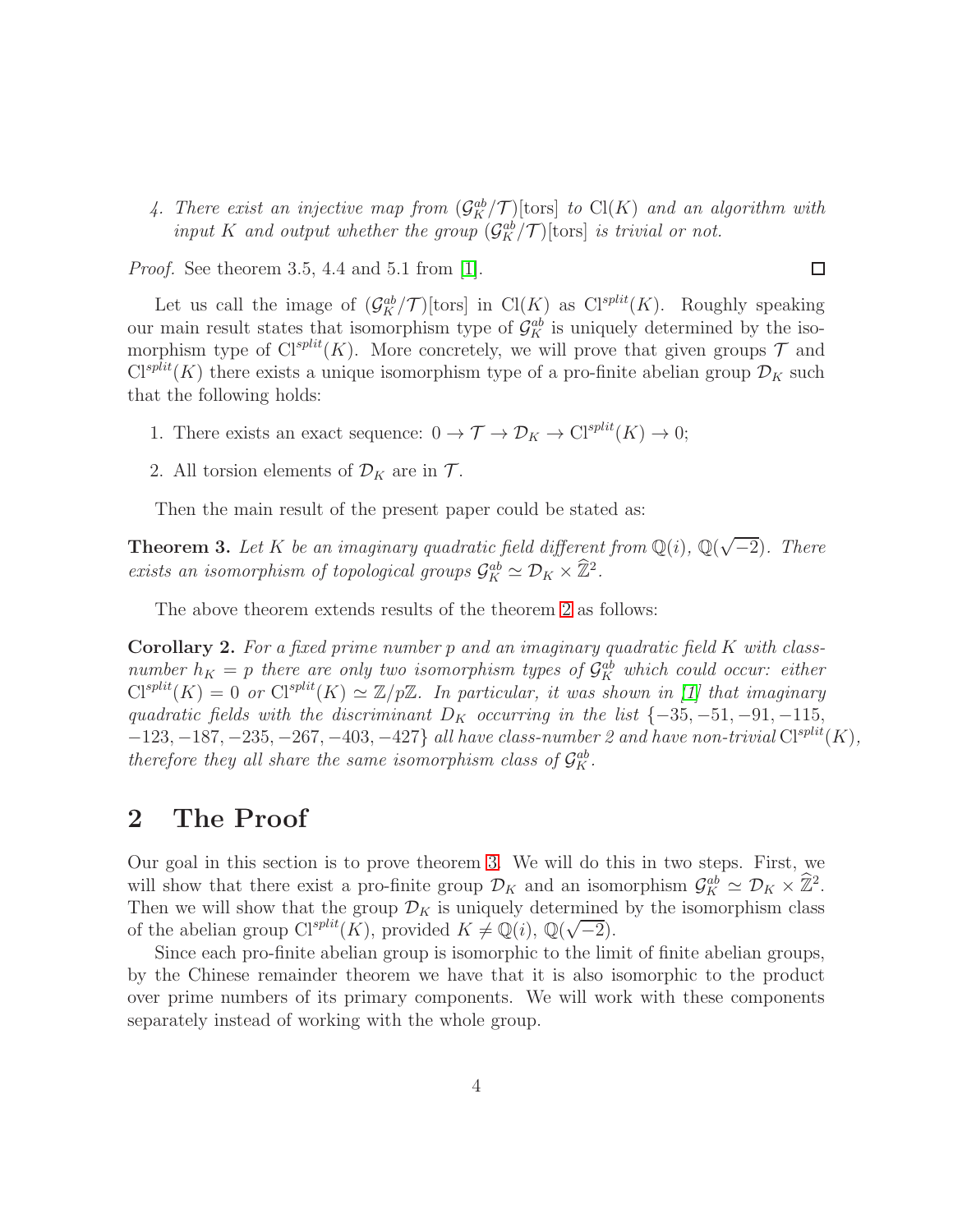4. There exist an injective map from  $(\mathcal{G}_{K}^{ab}/\mathcal{T})$  [tors] to  $Cl(K)$  and an algorithm with input K and output whether the group  $(\mathcal{G}_{K}^{ab}/\mathcal{T})$  [tors] is trivial or not.

 $\Box$ 

Proof. See theorem 3.5, 4.4 and 5.1 from [\[1\]](#page-9-0).

Let us call the image of  $(\mathcal{G}_K^{ab}/\mathcal{T})$  [tors] in Cl(K) as Cl<sup>split</sup>(K). Roughly speaking our main result states that isomorphism type of  $\mathcal{G}_K^{ab}$  is uniquely determined by the isomorphism type of  $Cl^{split}(K)$ . More concretely, we will prove that given groups  $\mathcal T$  and  $Cl^{split}(K)$  there exists a unique isomorphism type of a pro-finite abelian group  $\mathcal{D}_K$  such that the following holds:

- 1. There exists an exact sequence:  $0 \to \mathcal{T} \to \mathcal{D}_K \to \mathrm{Cl}^{split}(K) \to 0;$
- 2. All torsion elements of  $\mathcal{D}_K$  are in  $\mathcal{T}$ .

Then the main result of the present paper could be stated as:

<span id="page-3-0"></span>**Theorem 3.** Let K be an imaginary quadratic field different from  $\mathbb{Q}(i)$ ,  $\mathbb{Q}(\sqrt{-2})$ . There exists an isomorphism of topological groups  $\mathcal{G}_K^{ab} \simeq \mathcal{D}_K \times \widehat{\mathbb{Z}}^2$ .

The above theorem extends results of the theorem [2](#page-2-0) as follows:

Corollary 2. For a fixed prime number p and an imaginary quadratic field K with classnumber  $h_K = p$  there are only two isomorphism types of  $\mathcal{G}_K^{ab}$  which could occur: either  $\text{Cl}^{split}(K) = 0$  or  $\text{Cl}^{split}(K) \simeq \mathbb{Z}/p\mathbb{Z}$ . In particular, it was shown in [\[1\]](#page-9-0) that imaginary quadratic fields with the discriminant  $D_K$  occurring in the list  $\{-35, -51, -91, -115,$  $-123, -187, -235, -267, -403, -427$  all have class-number 2 and have non-trivial  $Cl^{split}(K)$ , therefore they all share the same isomorphism class of  $\mathcal{G}_K^{ab}$ .

## <span id="page-3-1"></span>2 The Proof

Our goal in this section is to prove theorem [3.](#page-3-0) We will do this in two steps. First, we will show that there exist a pro-finite group  $\mathcal{D}_K$  and an isomorphism  $\mathcal{G}_K^{ab} \simeq \mathcal{D}_K \times \hat{\mathbb{Z}}^2$ . Then we will show that the group  $\mathcal{D}_K$  is uniquely determined by the isomorphism class of the abelian group  $Cl^{split}(K)$ , provided  $K \neq \mathbb{Q}(i)$ ,  $\mathbb{Q}(\sqrt{-2})$ .

Since each pro-finite abelian group is isomorphic to the limit of finite abelian groups, by the Chinese remainder theorem we have that it is also isomorphic to the product over prime numbers of its primary components. We will work with these components separately instead of working with the whole group.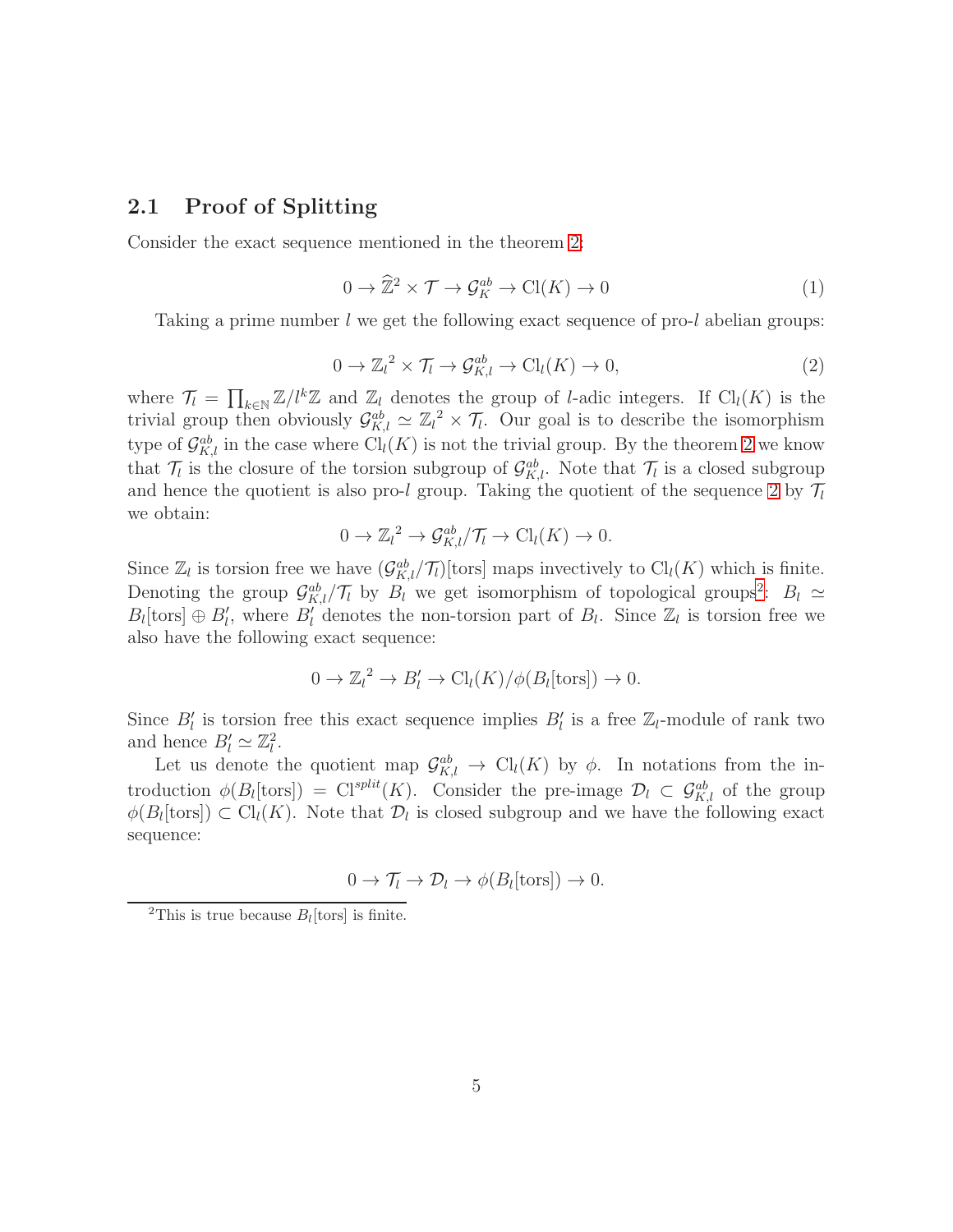## <span id="page-4-2"></span>2.1 Proof of Splitting

Consider the exact sequence mentioned in the theorem [2:](#page-2-0)

$$
0 \to \widehat{\mathbb{Z}}^2 \times \mathcal{T} \to \mathcal{G}_K^{ab} \to \mathrm{Cl}(K) \to 0 \tag{1}
$$

Taking a prime number  $l$  we get the following exact sequence of pro- $l$  abelian groups:

<span id="page-4-0"></span>
$$
0 \to \mathbb{Z}_l^2 \times \mathcal{T}_l \to \mathcal{G}_{K,l}^{ab} \to \mathrm{Cl}_l(K) \to 0,
$$
\n<sup>(2)</sup>

where  $\mathcal{T}_l = \prod_{k \in \mathbb{N}} \mathbb{Z}/l^k \mathbb{Z}$  and  $\mathbb{Z}_l$  denotes the group of *l*-adic integers. If Cl<sub>l</sub>(K) is the trivial group then obviously  $\mathcal{G}_{K,l}^{ab} \simeq \mathbb{Z}_l^2 \times \mathcal{T}_l$ . Our goal is to describe the isomorphism type of  $\mathcal{G}_{K,l}^{ab}$  in the case where  $\text{Cl}_{l}(K)$  is not the trivial group. By the theorem [2](#page-2-0) we know that  $\mathcal{T}_l$  is the closure of the torsion subgroup of  $\mathcal{G}_{K,l}^{ab}$ . Note that  $\mathcal{T}_l$  is a closed subgroup and hence the quotient is also pro-l group. Taking the quotient of the sequence [2](#page-4-0) by  $\mathcal{T}_l$ we obtain:

$$
0 \to \mathbb{Z}_l^2 \to \mathcal{G}_{K,l}^{ab}/\mathcal{T}_l \to \mathrm{Cl}_l(K) \to 0.
$$

Since  $\mathbb{Z}_l$  is torsion free we have  $(\mathcal{G}_{K,l}^{ab}/\mathcal{T}_l)$  [tors] maps invectively to  $\text{Cl}_l(K)$  which is finite. Denoting the group  $\mathcal{G}_{K,l}^{ab}/\mathcal{T}_l$  by  $B_l$  we get isomorphism of topological groups<sup>[2](#page-4-1)</sup>:  $B_l \simeq$  $B_l$ [tors]  $\oplus B'_l$ , where  $B'_l$  denotes the non-torsion part of  $B_l$ . Since  $\mathbb{Z}_l$  is torsion free we also have the following exact sequence:

$$
0 \to \mathbb{Z}_l^2 \to B'_l \to \mathrm{Cl}_l(K)/\phi(B_l[\mathrm{tors}]) \to 0.
$$

Since  $B'_l$  is torsion free this exact sequence implies  $B'_l$  is a free  $\mathbb{Z}_l$ -module of rank two and hence  $B'_l \simeq \mathbb{Z}_l^2$  $\frac{2}{l}$ .

Let us denote the quotient map  $\mathcal{G}_{K,l}^{ab} \to \mathrm{Cl}_l(K)$  by  $\phi$ . In notations from the introduction  $\phi(B_l[\text{tors}]) = \text{Cl}^{split}(K)$ . Consider the pre-image  $\mathcal{D}_l \subset \mathcal{G}_{K,l}^{ab}$  of the group  $\phi(B_l[\text{tors}]) \subset \text{Cl}_l(K)$ . Note that  $\mathcal{D}_l$  is closed subgroup and we have the following exact sequence:

$$
0 \to \mathcal{T}_l \to \mathcal{D}_l \to \phi(B_l[\text{tors}]) \to 0.
$$

<span id="page-4-1"></span><sup>&</sup>lt;sup>2</sup>This is true because  $B_l$  [tors] is finite.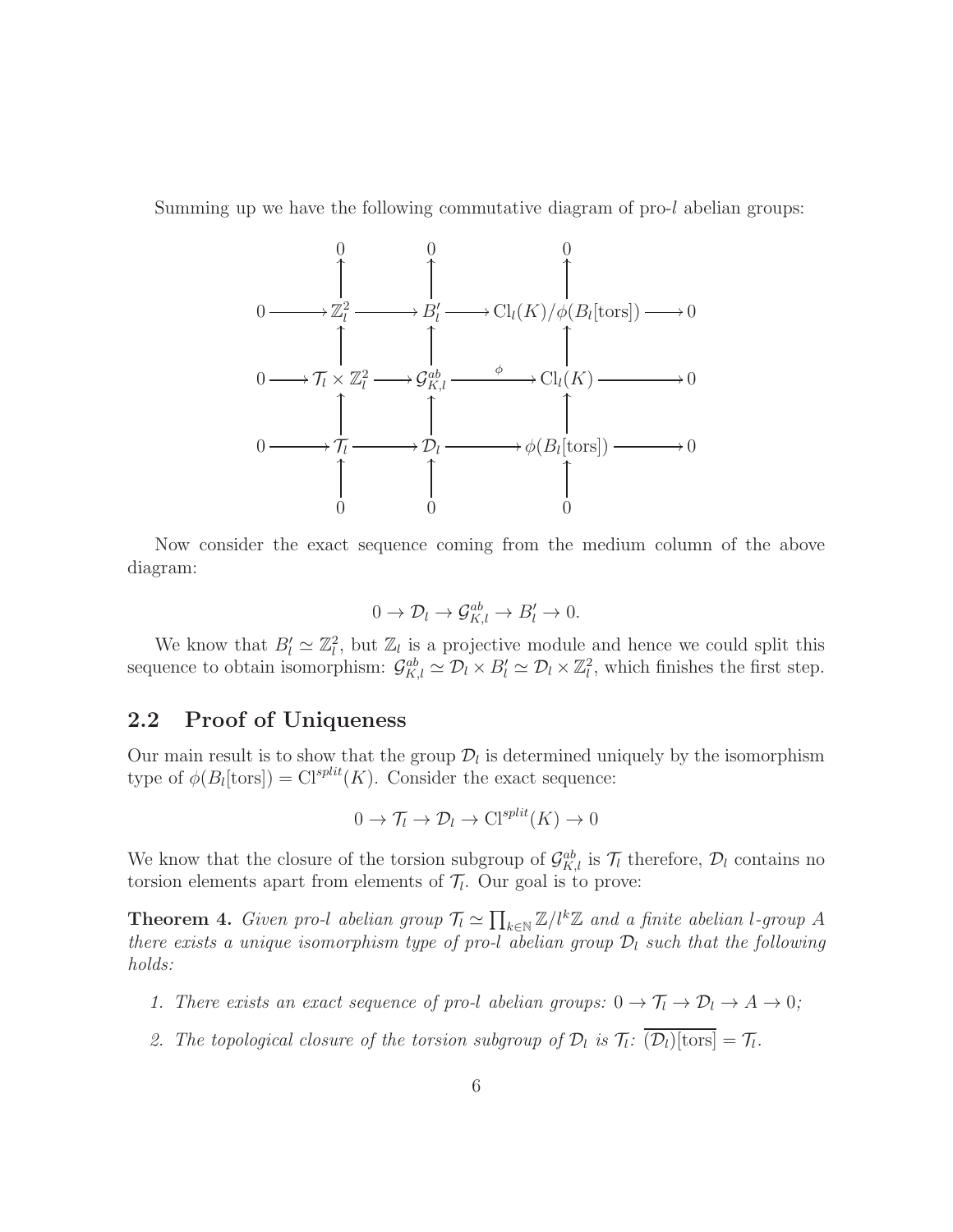Summing up we have the following commutative diagram of pro-l abelian groups:



Now consider the exact sequence coming from the medium column of the above diagram:

$$
0 \to \mathcal{D}_l \to \mathcal{G}_{K,l}^{ab} \to B'_l \to 0.
$$

We know that  $B'_l \simeq \mathbb{Z}_l^2$  $\mathbb{Z}_l$ , but  $\mathbb{Z}_l$  is a projective module and hence we could split this sequence to obtain isomorphism:  $\mathcal{G}_{K,l}^{ab} \simeq \mathcal{D}_l \times B_l' \simeq \mathcal{D}_l \times \mathbb{Z}_l^2$  $\ell_i^2$ , which finishes the first step.

## <span id="page-5-1"></span>2.2 Proof of Uniqueness

Our main result is to show that the group  $\mathcal{D}_l$  is determined uniquely by the isomorphism type of  $\phi(B_l[\text{tors}]) = \text{Cl}^{split}(K)$ . Consider the exact sequence:

$$
0 \to \mathcal{T}_l \to \mathcal{D}_l \to \mathrm{Cl}^{split}(K) \to 0
$$

We know that the closure of the torsion subgroup of  $\mathcal{G}_{K,l}^{ab}$  is  $\mathcal{T}_l$  therefore,  $\mathcal{D}_l$  contains no torsion elements apart from elements of  $\mathcal{T}_l$ . Our goal is to prove:

<span id="page-5-0"></span>**Theorem 4.** Given pro-l abelian group  $\mathcal{T}_l \simeq \prod_{k \in \mathbb{N}} \mathbb{Z}/l^k \mathbb{Z}$  and a finite abelian l-group A there exists a unique isomorphism type of pro-l abelian group  $\mathcal{D}_l$  such that the following holds:

- 1. There exists an exact sequence of pro-l abelian groups:  $0 \to \mathcal{T}_l \to \mathcal{D}_l \to A \to 0;$
- 2. The topological closure of the torsion subgroup of  $\mathcal{D}_l$  is  $\mathcal{T}_l$ :  $(\mathcal{D}_l)$ [tors] =  $\mathcal{T}_l$ .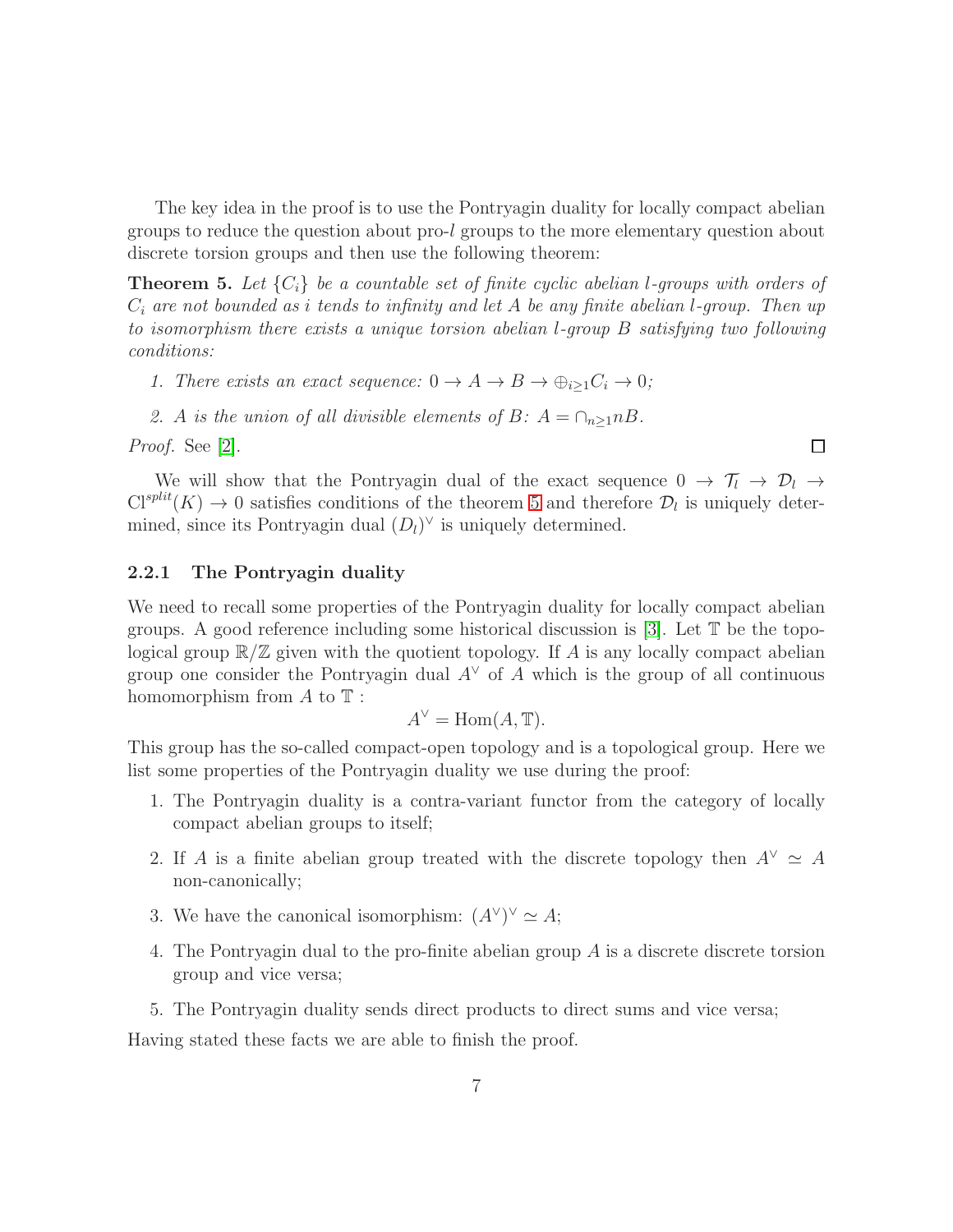The key idea in the proof is to use the Pontryagin duality for locally compact abelian groups to reduce the question about pro-l groups to the more elementary question about discrete torsion groups and then use the following theorem:

<span id="page-6-0"></span>**Theorem 5.** Let  $\{C_i\}$  be a countable set of finite cyclic abelian *l*-groups with orders of  $C_i$  are not bounded as i tends to infinity and let A be any finite abelian l-group. Then up to isomorphism there exists a unique torsion abelian l-group B satisfying two following conditions:

- 1. There exists an exact sequence:  $0 \to A \to B \to \bigoplus_{i>1} C_i \to 0;$
- 2. A is the union of all divisible elements of B:  $A = \bigcap_{n>1} nB$ .

Proof. See [\[2\]](#page-9-2).

We will show that the Pontryagin dual of the exact sequence  $0 \to \mathcal{T}_l \to \mathcal{D}_l \to$  $Cl<sup>split</sup>(K) \rightarrow 0$  satisfies conditions of the theorem [5](#page-6-0) and therefore  $\mathcal{D}_l$  is uniquely determined, since its Pontryagin dual  $(D_l)^{\vee}$  is uniquely determined.

 $\Box$ 

## <span id="page-6-1"></span>2.2.1 The Pontryagin duality

We need to recall some properties of the Pontryagin duality for locally compact abelian groups. A good reference including some historical discussion is [\[3\]](#page-9-3). Let  $\mathbb T$  be the topological group  $\mathbb{R}/\mathbb{Z}$  given with the quotient topology. If A is any locally compact abelian group one consider the Pontryagin dual  $A^{\vee}$  of A which is the group of all continuous homomorphism from  $A$  to  $\mathbb T$ :

$$
A^{\vee} = \text{Hom}(A, \mathbb{T}).
$$

This group has the so-called compact-open topology and is a topological group. Here we list some properties of the Pontryagin duality we use during the proof:

- 1. The Pontryagin duality is a contra-variant functor from the category of locally compact abelian groups to itself;
- 2. If A is a finite abelian group treated with the discrete topology then  $A^{\vee} \simeq A$ non-canonically;
- 3. We have the canonical isomorphism:  $(A^{\vee})^{\vee} \simeq A$ ;
- 4. The Pontryagin dual to the pro-finite abelian group A is a discrete discrete torsion group and vice versa;
- 5. The Pontryagin duality sends direct products to direct sums and vice versa;

Having stated these facts we are able to finish the proof.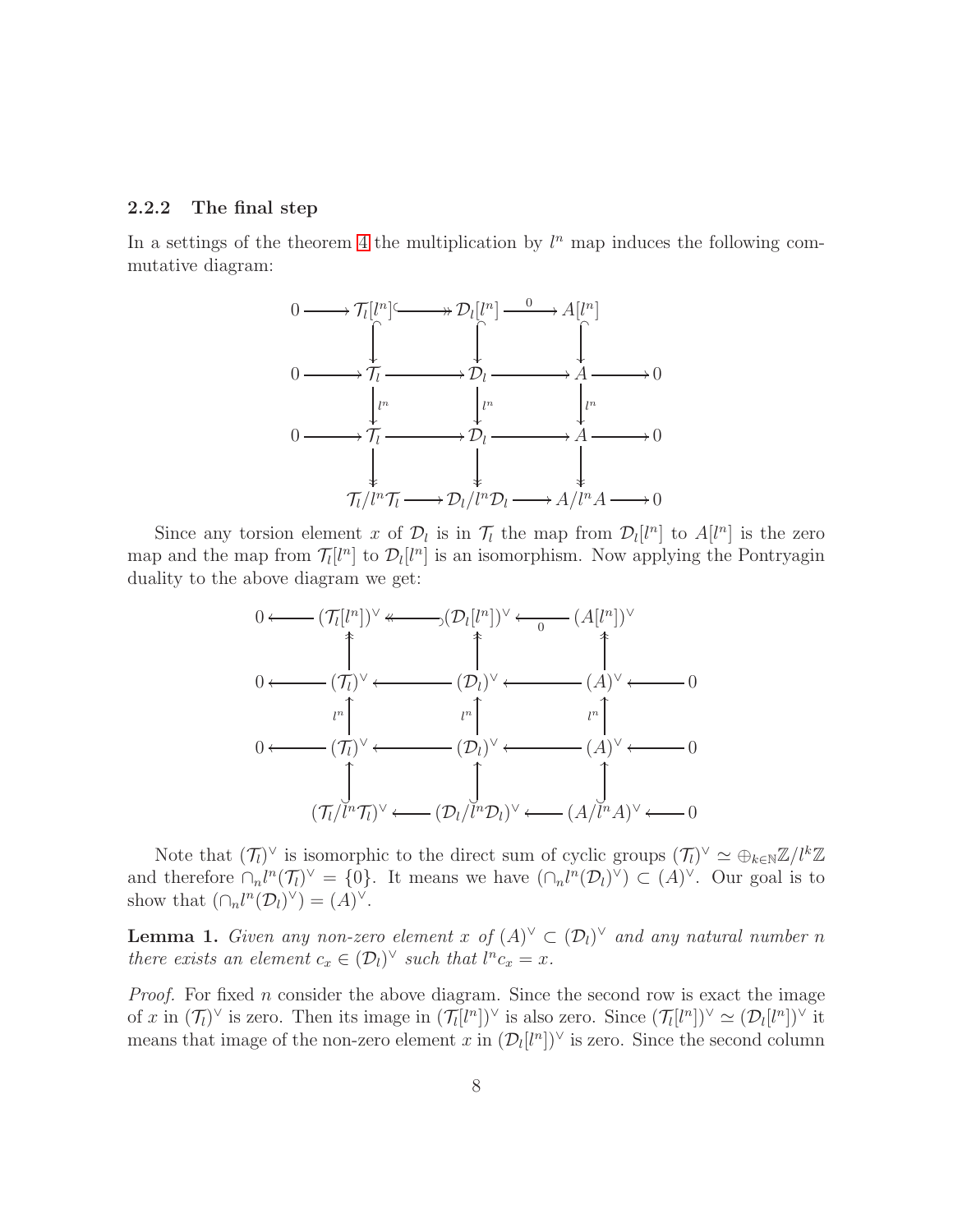#### <span id="page-7-0"></span>2.2.2 The final step

In a settings of the theorem [4](#page-5-0) the multiplication by  $l^n$  map induces the following commutative diagram:



Since any torsion element x of  $\mathcal{D}_l$  is in  $\mathcal{T}_l$  the map from  $\mathcal{D}_l[l^n]$  to  $A[l^n]$  is the zero map and the map from  $\mathcal{T}_l[l^n]$  to  $\mathcal{D}_l[l^n]$  is an isomorphism. Now applying the Pontryagin duality to the above diagram we get:



Note that  $(\mathcal{T}_l)^{\vee}$  is isomorphic to the direct sum of cyclic groups  $(\mathcal{T}_l)^{\vee} \simeq \bigoplus_{k \in \mathbb{N}} \mathbb{Z}/l^k \mathbb{Z}$ and therefore  $\bigcap_n l^n(\mathcal{T}_l)^{\vee} = \{0\}$ . It means we have  $(\bigcap_n l^n(\mathcal{D}_l)^{\vee}) \subset (A)^{\vee}$ . Our goal is to show that  $(\cap_n l^n(\mathcal{D}_l)^{\vee}) = (A)^{\vee}$ .

**Lemma 1.** Given any non-zero element x of  $(A)^\vee \subset (\mathcal{D}_l)^\vee$  and any natural number n there exists an element  $c_x \in (\mathcal{D}_l)^{\vee}$  such that  $l^n c_x = x$ .

Proof. For fixed n consider the above diagram. Since the second row is exact the image of x in  $(\mathcal{T}_l)^{\vee}$  is zero. Then its image in  $(\mathcal{T}_l[l^n])^{\vee}$  is also zero. Since  $(\mathcal{T}_l[l^n])^{\vee} \simeq (\mathcal{D}_l[l^n])^{\vee}$  it means that image of the non-zero element x in  $(\mathcal{D}_l[l^n])^{\vee}$  is zero. Since the second column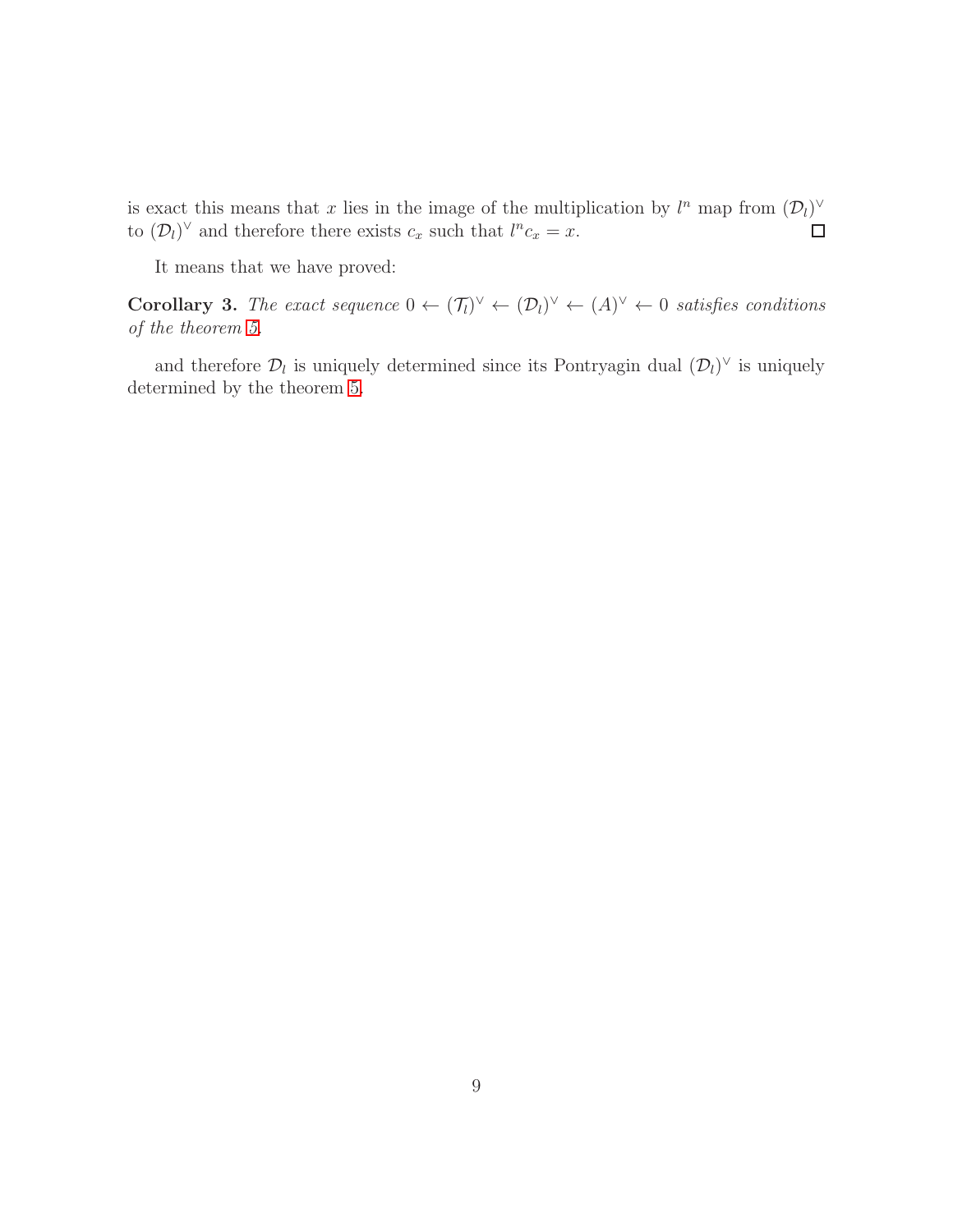is exact this means that x lies in the image of the multiplication by  $l^n$  map from  $(\mathcal{D}_l)^{\vee}$ to  $(D_l)^{\vee}$  and therefore there exists  $c_x$  such that  $l^n c_x = x$ .

It means that we have proved:

**Corollary 3.** The exact sequence  $0 \leftarrow (\mathcal{T}_l)^{\vee} \leftarrow (\mathcal{D}_l)^{\vee} \leftarrow (A)^{\vee} \leftarrow 0$  satisfies conditions of the theorem [5.](#page-6-0)

and therefore  $\mathcal{D}_l$  is uniquely determined since its Pontryagin dual  $(\mathcal{D}_l)^{\vee}$  is uniquely determined by the theorem [5.](#page-6-0)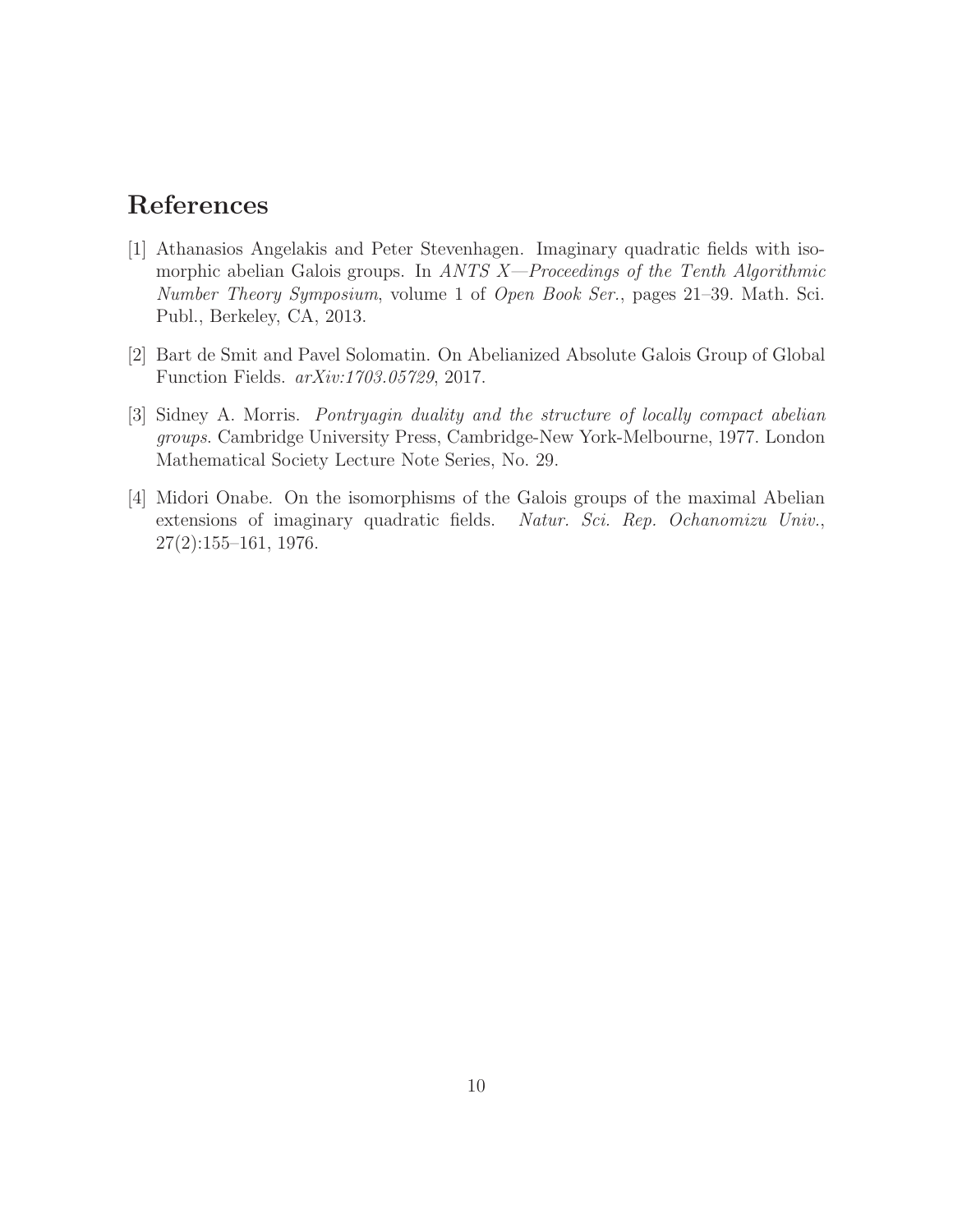## <span id="page-9-0"></span>References

- [1] Athanasios Angelakis and Peter Stevenhagen. Imaginary quadratic fields with isomorphic abelian Galois groups. In ANTS  $X$ —Proceedings of the Tenth Algorithmic Number Theory Symposium, volume 1 of Open Book Ser., pages 21–39. Math. Sci. Publ., Berkeley, CA, 2013.
- <span id="page-9-3"></span><span id="page-9-2"></span>[2] Bart de Smit and Pavel Solomatin. On Abelianized Absolute Galois Group of Global Function Fields. arXiv:1703.05729, 2017.
- [3] Sidney A. Morris. Pontryagin duality and the structure of locally compact abelian groups. Cambridge University Press, Cambridge-New York-Melbourne, 1977. London Mathematical Society Lecture Note Series, No. 29.
- <span id="page-9-1"></span>[4] Midori Onabe. On the isomorphisms of the Galois groups of the maximal Abelian extensions of imaginary quadratic fields. Natur. Sci. Rep. Ochanomizu Univ., 27(2):155–161, 1976.